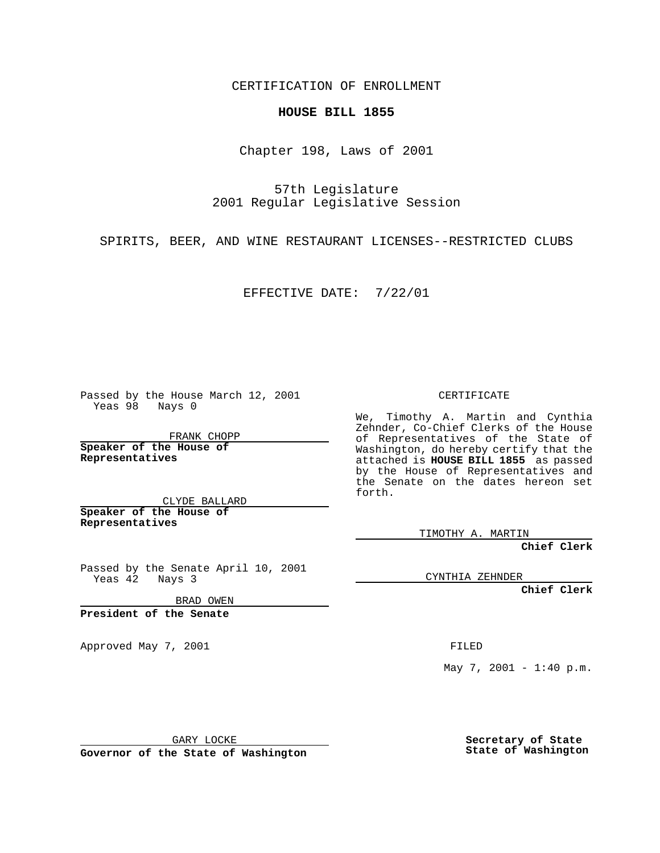CERTIFICATION OF ENROLLMENT

## **HOUSE BILL 1855**

Chapter 198, Laws of 2001

57th Legislature 2001 Regular Legislative Session

SPIRITS, BEER, AND WINE RESTAURANT LICENSES--RESTRICTED CLUBS

EFFECTIVE DATE: 7/22/01

Passed by the House March 12, 2001 Yeas 98 Nays 0

FRANK CHOPP

**Speaker of the House of Representatives**

CLYDE BALLARD **Speaker of the House of**

**Representatives**

Passed by the Senate April 10, 2001 Yeas 42 Nays 3

BRAD OWEN

**President of the Senate**

Approved May 7, 2001 FILED

CERTIFICATE

We, Timothy A. Martin and Cynthia Zehnder, Co-Chief Clerks of the House of Representatives of the State of Washington, do hereby certify that the attached is **HOUSE BILL 1855** as passed by the House of Representatives and the Senate on the dates hereon set forth.

TIMOTHY A. MARTIN

**Chief Clerk**

CYNTHIA ZEHNDER

**Chief Clerk**

May 7, 2001 - 1:40 p.m.

GARY LOCKE

**Governor of the State of Washington**

**Secretary of State State of Washington**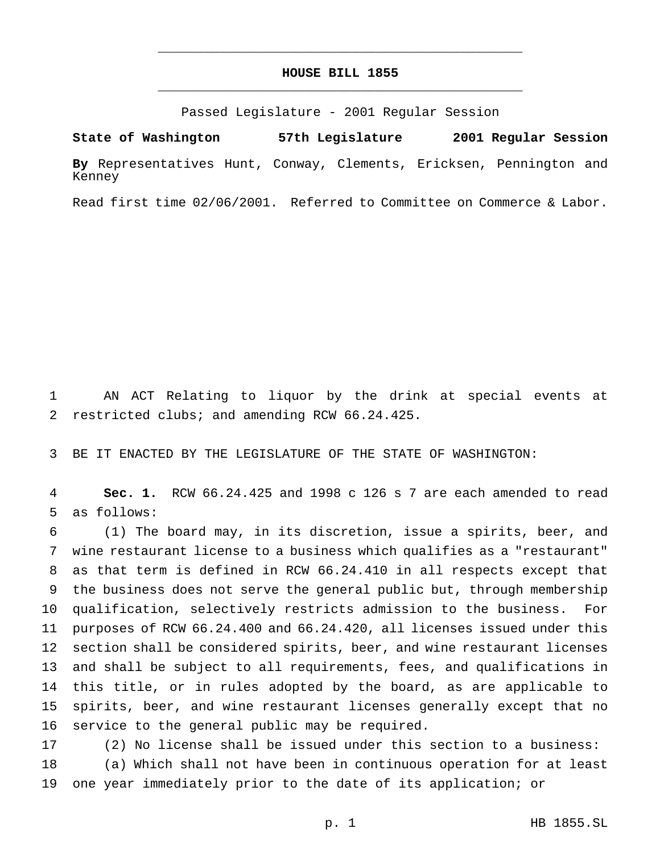## **HOUSE BILL 1855** \_\_\_\_\_\_\_\_\_\_\_\_\_\_\_\_\_\_\_\_\_\_\_\_\_\_\_\_\_\_\_\_\_\_\_\_\_\_\_\_\_\_\_\_\_\_\_

\_\_\_\_\_\_\_\_\_\_\_\_\_\_\_\_\_\_\_\_\_\_\_\_\_\_\_\_\_\_\_\_\_\_\_\_\_\_\_\_\_\_\_\_\_\_\_

Passed Legislature - 2001 Regular Session

**State of Washington 57th Legislature 2001 Regular Session By** Representatives Hunt, Conway, Clements, Ericksen, Pennington and Kenney

Read first time 02/06/2001. Referred to Committee on Commerce & Labor.

 AN ACT Relating to liquor by the drink at special events at restricted clubs; and amending RCW 66.24.425.

BE IT ENACTED BY THE LEGISLATURE OF THE STATE OF WASHINGTON:

 **Sec. 1.** RCW 66.24.425 and 1998 c 126 s 7 are each amended to read as follows:

 (1) The board may, in its discretion, issue a spirits, beer, and wine restaurant license to a business which qualifies as a "restaurant" as that term is defined in RCW 66.24.410 in all respects except that the business does not serve the general public but, through membership qualification, selectively restricts admission to the business. For purposes of RCW 66.24.400 and 66.24.420, all licenses issued under this section shall be considered spirits, beer, and wine restaurant licenses and shall be subject to all requirements, fees, and qualifications in this title, or in rules adopted by the board, as are applicable to spirits, beer, and wine restaurant licenses generally except that no service to the general public may be required.

 (2) No license shall be issued under this section to a business: (a) Which shall not have been in continuous operation for at least one year immediately prior to the date of its application; or